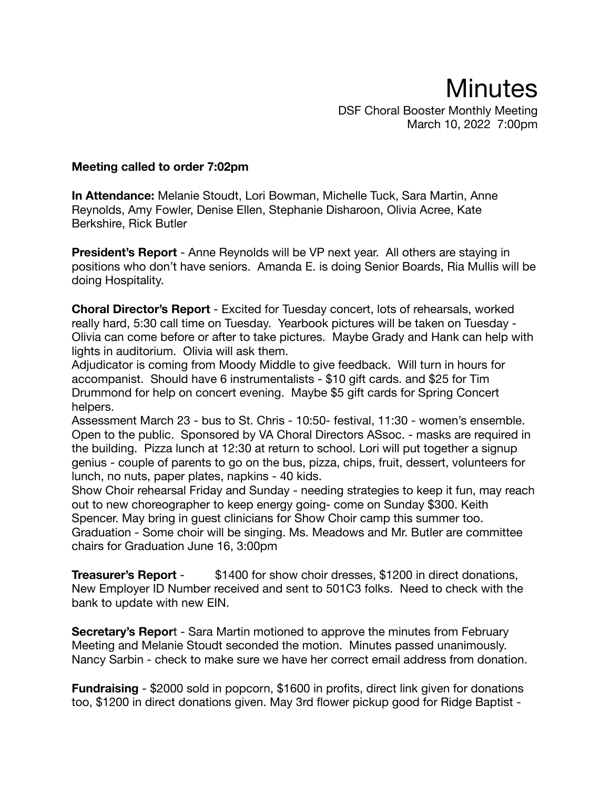## **Minutes** DSF Choral Booster Monthly Meeting March 10, 2022 7:00pm

## **Meeting called to order 7:02pm**

**In Attendance:** Melanie Stoudt, Lori Bowman, Michelle Tuck, Sara Martin, Anne Reynolds, Amy Fowler, Denise Ellen, Stephanie Disharoon, Olivia Acree, Kate Berkshire, Rick Butler

**President's Report** - Anne Reynolds will be VP next year. All others are staying in positions who don't have seniors. Amanda E. is doing Senior Boards, Ria Mullis will be doing Hospitality.

**Choral Director's Report** - Excited for Tuesday concert, lots of rehearsals, worked really hard, 5:30 call time on Tuesday. Yearbook pictures will be taken on Tuesday - Olivia can come before or after to take pictures. Maybe Grady and Hank can help with lights in auditorium. Olivia will ask them.

Adjudicator is coming from Moody Middle to give feedback. Will turn in hours for accompanist. Should have 6 instrumentalists - \$10 gift cards. and \$25 for Tim Drummond for help on concert evening. Maybe \$5 gift cards for Spring Concert helpers.

Assessment March 23 - bus to St. Chris - 10:50- festival, 11:30 - women's ensemble. Open to the public. Sponsored by VA Choral Directors ASsoc. - masks are required in the building. Pizza lunch at 12:30 at return to school. Lori will put together a signup genius - couple of parents to go on the bus, pizza, chips, fruit, dessert, volunteers for lunch, no nuts, paper plates, napkins - 40 kids.

Show Choir rehearsal Friday and Sunday - needing strategies to keep it fun, may reach out to new choreographer to keep energy going- come on Sunday \$300. Keith Spencer. May bring in guest clinicians for Show Choir camp this summer too. Graduation - Some choir will be singing. Ms. Meadows and Mr. Butler are committee chairs for Graduation June 16, 3:00pm

**Treasurer's Report** - \$1400 for show choir dresses, \$1200 in direct donations, New Employer ID Number received and sent to 501C3 folks. Need to check with the bank to update with new EIN.

**Secretary's Repor**t - Sara Martin motioned to approve the minutes from February Meeting and Melanie Stoudt seconded the motion. Minutes passed unanimously. Nancy Sarbin - check to make sure we have her correct email address from donation.

**Fundraising** - \$2000 sold in popcorn, \$1600 in profits, direct link given for donations too, \$1200 in direct donations given. May 3rd flower pickup good for Ridge Baptist -